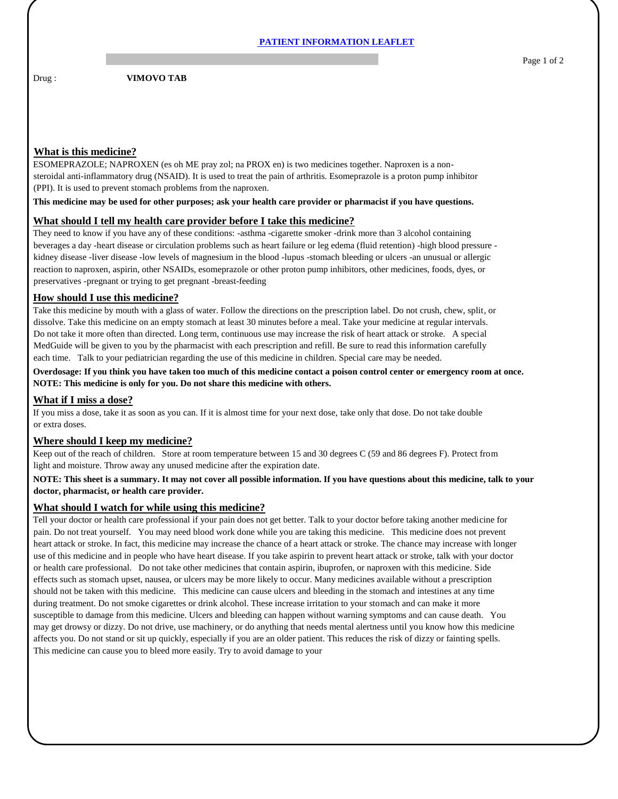Drug : **VIMOVO TAB** 

# **What is this medicine?**

ESOMEPRAZOLE; NAPROXEN (es oh ME pray zol; na PROX en) is two medicines together. Naproxen is a nonsteroidal anti-inflammatory drug (NSAID). It is used to treat the pain of arthritis. Esomeprazole is a proton pump inhibitor (PPI). It is used to prevent stomach problems from the naproxen.

**This medicine may be used for other purposes; ask your health care provider or pharmacist if you have questions.**

### **What should I tell my health care provider before I take this medicine?**

They need to know if you have any of these conditions: -asthma -cigarette smoker -drink more than 3 alcohol containing beverages a day -heart disease or circulation problems such as heart failure or leg edema (fluid retention) -high blood pressure kidney disease -liver disease -low levels of magnesium in the blood -lupus -stomach bleeding or ulcers -an unusual or allergic reaction to naproxen, aspirin, other NSAIDs, esomeprazole or other proton pump inhibitors, other medicines, foods, dyes, or preservatives -pregnant or trying to get pregnant -breast-feeding

### **How should I use this medicine?**

Take this medicine by mouth with a glass of water. Follow the directions on the prescription label. Do not crush, chew, split, or dissolve. Take this medicine on an empty stomach at least 30 minutes before a meal. Take your medicine at regular intervals. Do not take it more often than directed. Long term, continuous use may increase the risk of heart attack or stroke. A special MedGuide will be given to you by the pharmacist with each prescription and refill. Be sure to read this information carefully each time. Talk to your pediatrician regarding the use of this medicine in children. Special care may be needed.

**Overdosage: If you think you have taken too much of this medicine contact a poison control center or emergency room at once. NOTE: This medicine is only for you. Do not share this medicine with others.**

## **What if I miss a dose?**

If you miss a dose, take it as soon as you can. If it is almost time for your next dose, take only that dose. Do not take double or extra doses.

### **Where should I keep my medicine?**

Keep out of the reach of children. Store at room temperature between 15 and 30 degrees C (59 and 86 degrees F). Protect from light and moisture. Throw away any unused medicine after the expiration date.

### **NOTE: This sheet is a summary. It may not cover all possible information. If you have questions about this medicine, talk to your doctor, pharmacist, or health care provider.**

#### **What should I watch for while using this medicine?**

Tell your doctor or health care professional if your pain does not get better. Talk to your doctor before taking another medicine for pain. Do not treat yourself. You may need blood work done while you are taking this medicine. This medicine does not prevent heart attack or stroke. In fact, this medicine may increase the chance of a heart attack or stroke. The chance may increase with longer use of this medicine and in people who have heart disease. If you take aspirin to prevent heart attack or stroke, talk with your doctor or health care professional. Do not take other medicines that contain aspirin, ibuprofen, or naproxen with this medicine. Side effects such as stomach upset, nausea, or ulcers may be more likely to occur. Many medicines available without a prescription should not be taken with this medicine. This medicine can cause ulcers and bleeding in the stomach and intestines at any time during treatment. Do not smoke cigarettes or drink alcohol. These increase irritation to your stomach and can make it more susceptible to damage from this medicine. Ulcers and bleeding can happen without warning symptoms and can cause death. You may get drowsy or dizzy. Do not drive, use machinery, or do anything that needs mental alertness until you know how this medicine affects you. Do not stand or sit up quickly, especially if you are an older patient. This reduces the risk of dizzy or fainting spells. This medicine can cause you to bleed more easily. Try to avoid damage to your